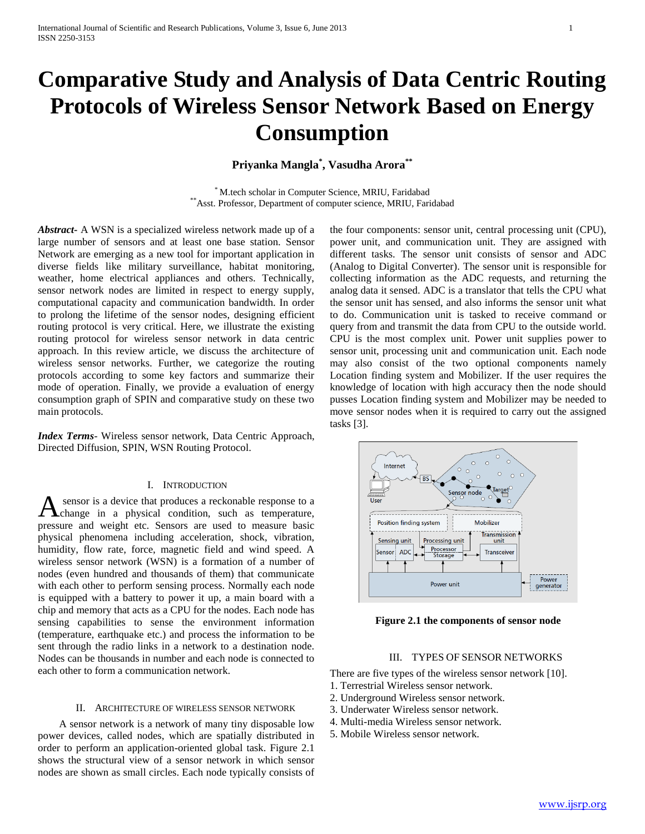# **Comparative Study and Analysis of Data Centric Routing Protocols of Wireless Sensor Network Based on Energy Consumption**

## **Priyanka Mangla\* , Vasudha Arora\*\***

\* M.tech scholar in Computer Science, MRIU, Faridabad \*\*Asst. Professor, Department of computer science, MRIU, Faridabad

*Abstract***-** A WSN is a specialized wireless network made up of a large number of sensors and at least one base station. Sensor Network are emerging as a new tool for important application in diverse fields like military surveillance, habitat monitoring, weather, home electrical appliances and others. Technically, sensor network nodes are limited in respect to energy supply, computational capacity and communication bandwidth. In order to prolong the lifetime of the sensor nodes, designing efficient routing protocol is very critical. Here, we illustrate the existing routing protocol for wireless sensor network in data centric approach. In this review article, we discuss the architecture of wireless sensor networks. Further, we categorize the routing protocols according to some key factors and summarize their mode of operation. Finally, we provide a evaluation of energy consumption graph of SPIN and comparative study on these two main protocols.

*Index Terms*- Wireless sensor network, Data Centric Approach, Directed Diffusion, SPIN, WSN Routing Protocol.

#### I. INTRODUCTION

sensor is a device that produces a reckonable response to a A sensor is a device that produces a reckonable response to a change in a physical condition, such as temperature, pressure and weight etc. Sensors are used to measure basic physical phenomena including acceleration, shock, vibration, humidity, flow rate, force, magnetic field and wind speed. A wireless sensor network (WSN) is a formation of a number of nodes (even hundred and thousands of them) that communicate with each other to perform sensing process. Normally each node is equipped with a battery to power it up, a main board with a chip and memory that acts as a CPU for the nodes. Each node has sensing capabilities to sense the environment information (temperature, earthquake etc.) and process the information to be sent through the radio links in a network to a destination node. Nodes can be thousands in number and each node is connected to each other to form a communication network.

### II. ARCHITECTURE OF WIRELESS SENSOR NETWORK

 A sensor network is a network of many tiny disposable low power devices, called nodes, which are spatially distributed in order to perform an application-oriented global task. Figure 2.1 shows the structural view of a sensor network in which sensor nodes are shown as small circles. Each node typically consists of

the four components: sensor unit, central processing unit (CPU), power unit, and communication unit. They are assigned with different tasks. The sensor unit consists of sensor and ADC (Analog to Digital Converter). The sensor unit is responsible for collecting information as the ADC requests, and returning the analog data it sensed. ADC is a translator that tells the CPU what the sensor unit has sensed, and also informs the sensor unit what to do. Communication unit is tasked to receive command or query from and transmit the data from CPU to the outside world. CPU is the most complex unit. Power unit supplies power to sensor unit, processing unit and communication unit. Each node may also consist of the two optional components namely Location finding system and Mobilizer. If the user requires the knowledge of location with high accuracy then the node should pusses Location finding system and Mobilizer may be needed to move sensor nodes when it is required to carry out the assigned tasks [3].



**Figure 2.1 the components of sensor node**

### III. TYPES OF SENSOR NETWORKS

There are five types of the wireless sensor network [10].

- 1. Terrestrial Wireless sensor network.
- 2. Underground Wireless sensor network.
- 3. Underwater Wireless sensor network.
- 4. Multi-media Wireless sensor network.
- 5. Mobile Wireless sensor network.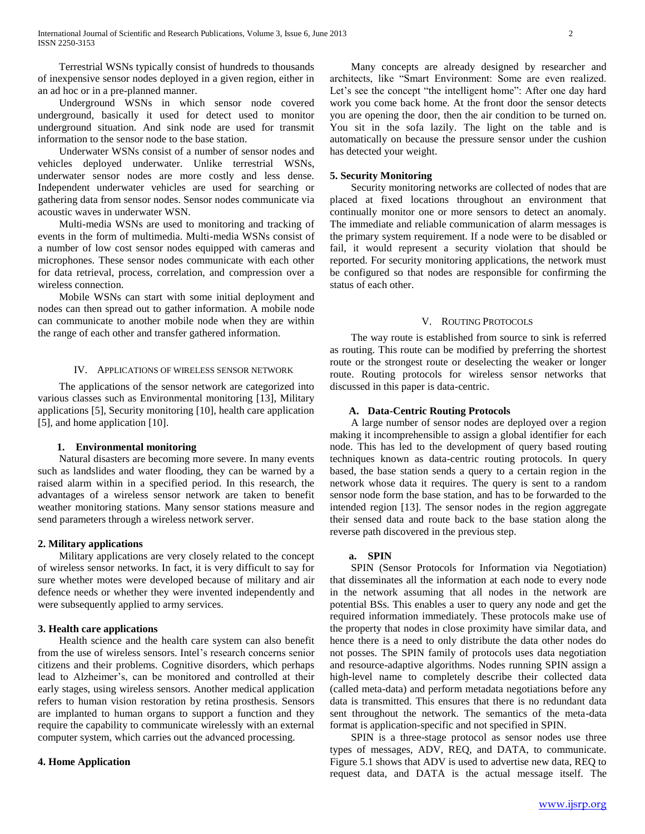Terrestrial WSNs typically consist of hundreds to thousands of inexpensive sensor nodes deployed in a given region, either in an ad hoc or in a pre-planned manner.

 Underground WSNs in which sensor node covered underground, basically it used for detect used to monitor underground situation. And sink node are used for transmit information to the sensor node to the base station.

 Underwater WSNs consist of a number of sensor nodes and vehicles deployed underwater. Unlike terrestrial WSNs, underwater sensor nodes are more costly and less dense. Independent underwater vehicles are used for searching or gathering data from sensor nodes. Sensor nodes communicate via acoustic waves in underwater WSN.

 Multi-media WSNs are used to monitoring and tracking of events in the form of multimedia. Multi-media WSNs consist of a number of low cost sensor nodes equipped with cameras and microphones. These sensor nodes communicate with each other for data retrieval, process, correlation, and compression over a wireless connection.

 Mobile WSNs can start with some initial deployment and nodes can then spread out to gather information. A mobile node can communicate to another mobile node when they are within the range of each other and transfer gathered information.

#### IV. APPLICATIONS OF WIRELESS SENSOR NETWORK

 The applications of the sensor network are categorized into various classes such as Environmental monitoring [13], Military applications [5], Security monitoring [10], health care application [5], and home application [10].

#### **1. Environmental monitoring**

 Natural disasters are becoming more severe. In many events such as landslides and water flooding, they can be warned by a raised alarm within in a specified period. In this research, the advantages of a wireless sensor network are taken to benefit weather monitoring stations. Many sensor stations measure and send parameters through a wireless network server.

#### **2. Military applications**

 Military applications are very closely related to the concept of wireless sensor networks. In fact, it is very difficult to say for sure whether motes were developed because of military and air defence needs or whether they were invented independently and were subsequently applied to army services.

#### **3. Health care applications**

 Health science and the health care system can also benefit from the use of wireless sensors. Intel's research concerns senior citizens and their problems. Cognitive disorders, which perhaps lead to Alzheimer's, can be monitored and controlled at their early stages, using wireless sensors. Another medical application refers to human vision restoration by retina prosthesis. Sensors are implanted to human organs to support a function and they require the capability to communicate wirelessly with an external computer system, which carries out the advanced processing.

#### **4. Home Application**

 Many concepts are already designed by researcher and architects, like "Smart Environment: Some are even realized. Let's see the concept "the intelligent home": After one day hard work you come back home. At the front door the sensor detects you are opening the door, then the air condition to be turned on. You sit in the sofa lazily. The light on the table and is automatically on because the pressure sensor under the cushion has detected your weight.

#### **5. Security Monitoring**

 Security monitoring networks are collected of nodes that are placed at fixed locations throughout an environment that continually monitor one or more sensors to detect an anomaly. The immediate and reliable communication of alarm messages is the primary system requirement. If a node were to be disabled or fail, it would represent a security violation that should be reported. For security monitoring applications, the network must be configured so that nodes are responsible for confirming the status of each other.

#### V. ROUTING PROTOCOLS

 The way route is established from source to sink is referred as routing. This route can be modified by preferring the shortest route or the strongest route or deselecting the weaker or longer route. Routing protocols for wireless sensor networks that discussed in this paper is data-centric.

#### **A. Data-Centric Routing Protocols**

 A large number of sensor nodes are deployed over a region making it incomprehensible to assign a global identifier for each node. This has led to the development of query based routing techniques known as data-centric routing protocols. In query based, the base station sends a query to a certain region in the network whose data it requires. The query is sent to a random sensor node form the base station, and has to be forwarded to the intended region [13]. The sensor nodes in the region aggregate their sensed data and route back to the base station along the reverse path discovered in the previous step.

#### **a. SPIN**

 SPIN (Sensor Protocols for Information via Negotiation) that disseminates all the information at each node to every node in the network assuming that all nodes in the network are potential BSs. This enables a user to query any node and get the required information immediately. These protocols make use of the property that nodes in close proximity have similar data, and hence there is a need to only distribute the data other nodes do not posses. The SPIN family of protocols uses data negotiation and resource-adaptive algorithms. Nodes running SPIN assign a high-level name to completely describe their collected data (called meta-data) and perform metadata negotiations before any data is transmitted. This ensures that there is no redundant data sent throughout the network. The semantics of the meta-data format is application-specific and not specified in SPIN.

 SPIN is a three-stage protocol as sensor nodes use three types of messages, ADV, REQ, and DATA, to communicate. Figure 5.1 shows that ADV is used to advertise new data, REQ to request data, and DATA is the actual message itself. The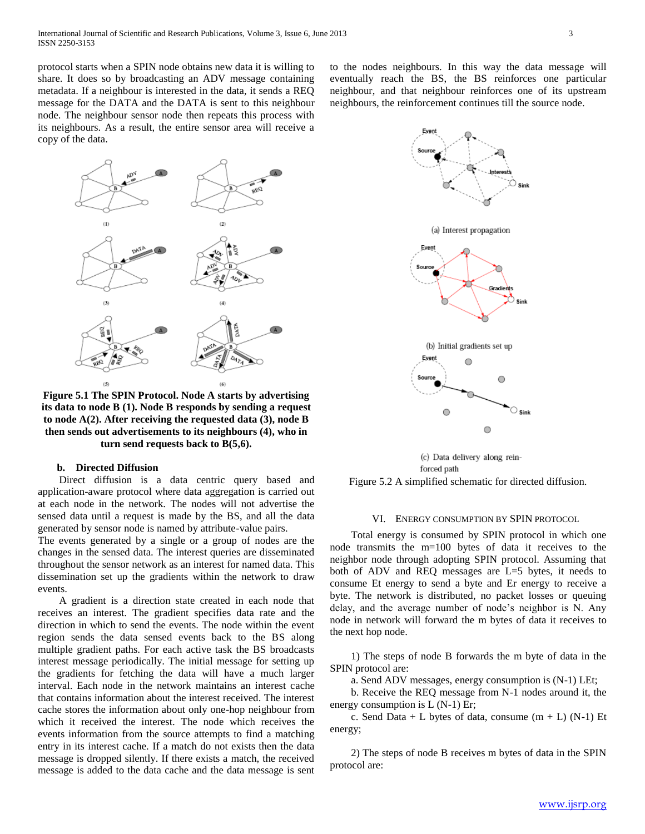protocol starts when a SPIN node obtains new data it is willing to share. It does so by broadcasting an ADV message containing metadata. If a neighbour is interested in the data, it sends a REQ message for the DATA and the DATA is sent to this neighbour node. The neighbour sensor node then repeats this process with its neighbours. As a result, the entire sensor area will receive a copy of the data.



**Figure 5.1 The SPIN Protocol. Node A starts by advertising its data to node B (1). Node B responds by sending a request to node A(2). After receiving the requested data (3), node B then sends out advertisements to its neighbours (4), who in turn send requests back to B(5,6).**

#### **b. Directed Diffusion**

 Direct diffusion is a data centric query based and application-aware protocol where data aggregation is carried out at each node in the network. The nodes will not advertise the sensed data until a request is made by the BS, and all the data generated by sensor node is named by attribute-value pairs.

The events generated by a single or a group of nodes are the changes in the sensed data. The interest queries are disseminated throughout the sensor network as an interest for named data. This dissemination set up the gradients within the network to draw events.

 A gradient is a direction state created in each node that receives an interest. The gradient specifies data rate and the direction in which to send the events. The node within the event region sends the data sensed events back to the BS along multiple gradient paths. For each active task the BS broadcasts interest message periodically. The initial message for setting up the gradients for fetching the data will have a much larger interval. Each node in the network maintains an interest cache that contains information about the interest received. The interest cache stores the information about only one-hop neighbour from which it received the interest. The node which receives the events information from the source attempts to find a matching entry in its interest cache. If a match do not exists then the data message is dropped silently. If there exists a match, the received message is added to the data cache and the data message is sent

to the nodes neighbours. In this way the data message will eventually reach the BS, the BS reinforces one particular neighbour, and that neighbour reinforces one of its upstream neighbours, the reinforcement continues till the source node.



(c) Data delivery along reinforced path Figure 5.2 A simplified schematic for directed diffusion.

#### VI. ENERGY CONSUMPTION BY SPIN PROTOCOL

 Total energy is consumed by SPIN protocol in which one node transmits the m=100 bytes of data it receives to the neighbor node through adopting SPIN protocol. Assuming that both of ADV and REQ messages are L=5 bytes, it needs to consume Et energy to send a byte and Er energy to receive a byte. The network is distributed, no packet losses or queuing delay, and the average number of node's neighbor is N. Any node in network will forward the m bytes of data it receives to the next hop node.

 1) The steps of node B forwards the m byte of data in the SPIN protocol are:

a. Send ADV messages, energy consumption is (N-1) LEt;

 b. Receive the REQ message from N-1 nodes around it, the energy consumption is L (N-1) Er;

c. Send Data + L bytes of data, consume  $(m + L)$  (N-1) Et energy;

 2) The steps of node B receives m bytes of data in the SPIN protocol are: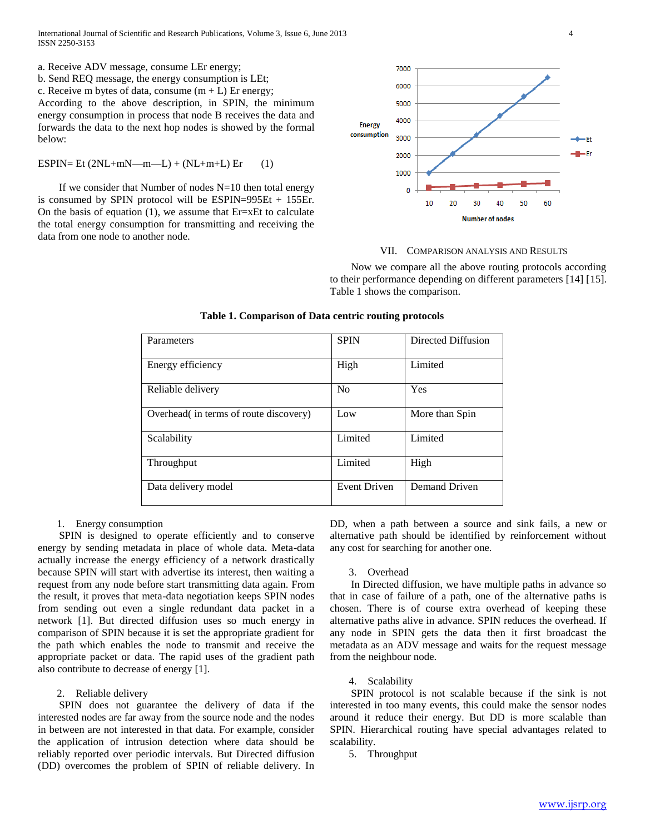International Journal of Scientific and Research Publications, Volume 3, Issue 6, June 2013 4 ISSN 2250-3153

a. Receive ADV message, consume LEr energy;

b. Send REQ message, the energy consumption is LEt;

c. Receive m bytes of data, consume  $(m + L)$  Er energy;

According to the above description, in SPIN, the minimum energy consumption in process that node B receives the data and forwards the data to the next hop nodes is showed by the formal below:

ESPIN= Et  $(2NL+mN-m-L) + (NL+m+L)$  Er (1)

If we consider that Number of nodes  $N=10$  then total energy is consumed by SPIN protocol will be ESPIN=995Et + 155Er. On the basis of equation  $(1)$ , we assume that Er=xEt to calculate the total energy consumption for transmitting and receiving the data from one node to another node.



#### VII. COMPARISON ANALYSIS AND RESULTS

 Now we compare all the above routing protocols according to their performance depending on different parameters [14] [15]. Table 1 shows the comparison.

| Parameters                            | <b>SPIN</b>         | Directed Diffusion |
|---------------------------------------|---------------------|--------------------|
| Energy efficiency                     | High                | Limited            |
| Reliable delivery                     | N <sub>0</sub>      | Yes                |
| Overhead in terms of route discovery) | Low                 | More than Spin     |
| Scalability                           | Limited             | Limited            |
| Throughput                            | Limited             | High               |
| Data delivery model                   | <b>Event Driven</b> | Demand Driven      |

#### **Table 1. Comparison of Data centric routing protocols**

#### 1. Energy consumption

 SPIN is designed to operate efficiently and to conserve energy by sending metadata in place of whole data. Meta-data actually increase the energy efficiency of a network drastically because SPIN will start with advertise its interest, then waiting a request from any node before start transmitting data again. From the result, it proves that meta-data negotiation keeps SPIN nodes from sending out even a single redundant data packet in a network [1]. But directed diffusion uses so much energy in comparison of SPIN because it is set the appropriate gradient for the path which enables the node to transmit and receive the appropriate packet or data. The rapid uses of the gradient path also contribute to decrease of energy [1].

#### 2. Reliable delivery

 SPIN does not guarantee the delivery of data if the interested nodes are far away from the source node and the nodes in between are not interested in that data. For example, consider the application of intrusion detection where data should be reliably reported over periodic intervals. But Directed diffusion (DD) overcomes the problem of SPIN of reliable delivery. In DD, when a path between a source and sink fails, a new or alternative path should be identified by reinforcement without any cost for searching for another one.

3. Overhead

 In Directed diffusion, we have multiple paths in advance so that in case of failure of a path, one of the alternative paths is chosen. There is of course extra overhead of keeping these alternative paths alive in advance. SPIN reduces the overhead. If any node in SPIN gets the data then it first broadcast the metadata as an ADV message and waits for the request message from the neighbour node.

#### 4. Scalability

 SPIN protocol is not scalable because if the sink is not interested in too many events, this could make the sensor nodes around it reduce their energy. But DD is more scalable than SPIN. Hierarchical routing have special advantages related to scalability.

5. Throughput